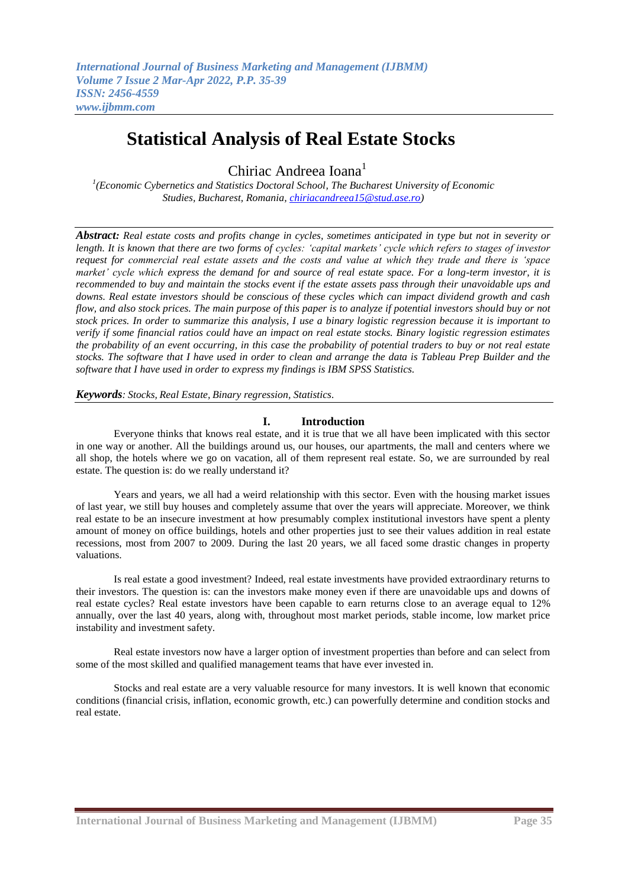# **Statistical Analysis of Real Estate Stocks**

Chiriac Andreea Ioana<sup>1</sup>

<sup>1</sup>(Economic Cybernetics and Statistics Doctoral School, The Bucharest University of Economic *Studies, Bucharest, Romania[, chiriacandreea15@stud.ase.ro\)](mailto:chiriacandreea15@stud.ase.ro.astina.fis@um.ac.id)*

*Abstract: Real estate costs and profits change in cycles, sometimes anticipated in type but not in severity or length. It is known that there are two forms of cycles: 'capital markets' cycle which refers to stages of investor request for commercial real estate assets and the costs and value at which they trade and there is 'space market' cycle which express the demand for and source of real estate space. For a long-term investor, it is recommended to buy and maintain the stocks event if the estate assets pass through their unavoidable ups and downs. Real estate investors should be conscious of these cycles which can impact dividend growth and cash flow, and also stock prices. The main purpose of this paper is to analyze if potential investors should buy or not stock prices. In order to summarize this analysis, I use a binary logistic regression because it is important to verify if some financial ratios could have an impact on real estate stocks. Binary logistic regression estimates the probability of an event occurring, in this case the probability of potential traders to buy or not real estate stocks. The software that I have used in order to clean and arrange the data is Tableau Prep Builder and the software that I have used in order to express my findings is IBM SPSS Statistics.*

*Keywords: Stocks, Real Estate, Binary regression, Statistics.*

# **I. Introduction**

Everyone thinks that knows real estate, and it is true that we all have been implicated with this sector in one way or another. All the buildings around us, our houses, our apartments, the mall and centers where we all shop, the hotels where we go on vacation, all of them represent real estate. So, we are surrounded by real estate. The question is: do we really understand it?

Years and years, we all had a weird relationship with this sector. Even with the housing market issues of last year, we still buy houses and completely assume that over the years will appreciate. Moreover, we think real estate to be an insecure investment at how [presumably](https://www.powerthesaurus.org/presumably/synonyms) complex institutional investors have spent a plenty amount of money on office buildings, hotels and other properties just to see their values addition in real estate recessions, most from 2007 to 2009. During the last 20 years, we all faced some drastic changes in property valuations.

Is real estate a good investment? Indeed, real estate investments have provided extraordinary returns to their investors. The question is: can the investors make money even if there are unavoidable ups and downs of real estate cycles? Real estate investors have been capable to earn returns close to an average equal to 12% annually, over the last 40 years, along with, throughout most market periods, stable income, low market price instability and investment safety.

Real estate investors now have a larger option of investment properties than before and can select from some of the most skilled and qualified management teams that have ever invested in.

Stocks and real estate are a very valuable resource for many investors. It is well known that economic conditions (financial crisis, inflation, economic growth, etc.) can powerfully determine and condition stocks and real estate.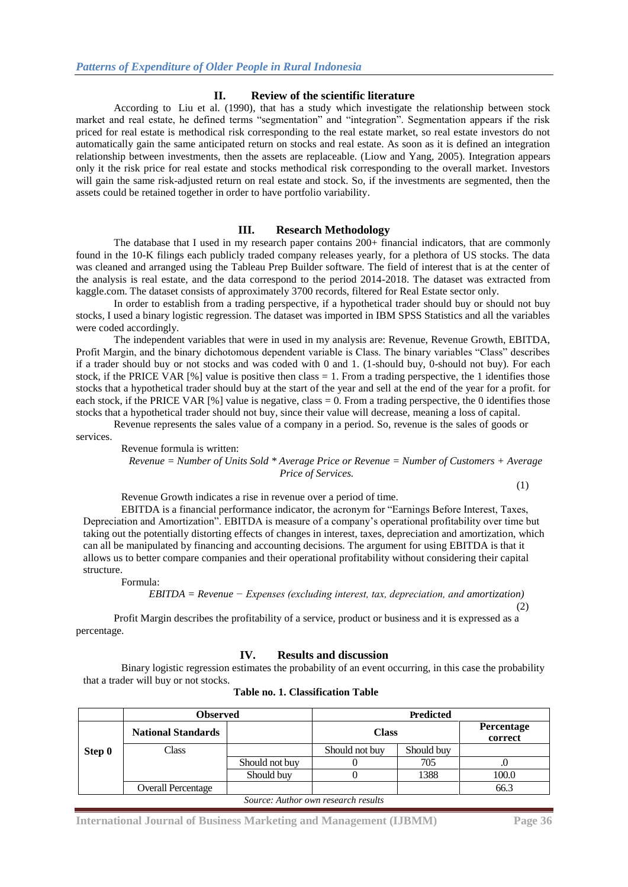## **II. Review of the scientific literature**

According to [Liu et al. \(1990\),](https://www.ncbi.nlm.nih.gov/pmc/articles/PMC7148884/#bb0085) that has a study which investigate the relationship between stock market and real estate, he defined terms "segmentation" and "integration". Segmentation appears if the risk priced for real estate is methodical risk corresponding to the real estate market, so real estate investors do not automatically gain the same anticipated return on stocks and real estate. As soon as it is defined an integration relationship between investments, then the assets are replaceable. [\(Liow and Yang, 2005\)](https://www.ncbi.nlm.nih.gov/pmc/articles/PMC7148884/#bb0080). Integration appears only it the risk price for real estate and stocks methodical risk corresponding to the overall market. Investors will gain the same risk-adjusted return on real estate and stock. So, if the investments are segmented, then the assets could be retained together in order to have portfolio variability.

# **III. Research Methodology**

The database that I used in my research paper contains 200+ financial indicators, that are commonly found in the 10-K filings each publicly traded company releases yearly, for a plethora of US stocks. The data was cleaned and arranged using the Tableau Prep Builder software. The field of interest that is at the center of the analysis is real estate, and the data correspond to the period 2014-2018. The dataset was extracted from kaggle.com. The dataset consists of approximately 3700 records, filtered for Real Estate sector only.

In order to establish from a trading perspective, if a hypothetical trader should buy or should not buy stocks, I used a binary logistic regression. The dataset was imported in IBM SPSS Statistics and all the variables were coded accordingly.

The independent variables that were in used in my analysis are: Revenue, Revenue Growth, EBITDA, Profit Margin, and the binary dichotomous dependent variable is Class. The binary variables "Class" describes if a trader should buy or not stocks and was coded with 0 and 1. (1-should buy, 0-should not buy). For each stock, if the PRICE VAR [%] value is positive then class  $= 1$ . From a trading perspective, the 1 identifies those stocks that a hypothetical trader should buy at the start of the year and sell at the end of the year for a profit. for each stock, if the PRICE VAR [%] value is negative, class = 0. From a trading perspective, the 0 identifies those stocks that a hypothetical trader should not buy, since their value will decrease, meaning a loss of capital.

Revenue represents the sales value of a company in a period. So, revenue is the sales of goods or services.

Revenue formula is written:

*Revenue = Number of Units Sold \* Average Price or Revenue = Number of Customers + Average Price of Services.*

(1)

Revenue Growth indicates a rise in revenue over a period of time.

EBITDA is a financial performance indicator, the acronym for "Earnings Before Interest, Taxes, Depreciation and Amortization". EBITDA is measure of a company's operational profitability over time but taking out the potentially distorting effects of changes in interest, taxes, depreciation and amortization, which can all be manipulated by financing and accounting decisions. The argument for using EBITDA is that it allows us to better compare companies and their operational profitability without considering their capital structure.

Formula:

*EBITDA = Revenue − Expenses (excluding interest, tax, depreciation, and amortization)* (2)

Profit Margin describes the profitability of a service, product or business and it is expressed as a percentage.

## **IV. Results and discussion**

Binary logistic regression estimates the probability of an event occurring, in this case the probability that a trader will buy or not stocks.

|                                     | <b>Observed</b>           |                | Predicted      |            |                       |  |  |
|-------------------------------------|---------------------------|----------------|----------------|------------|-----------------------|--|--|
|                                     | <b>National Standards</b> |                | <b>Class</b>   |            | Percentage<br>correct |  |  |
| Step 0                              | Class                     |                | Should not buy | Should buy |                       |  |  |
|                                     |                           | Should not buy |                | 705        | .υ                    |  |  |
|                                     |                           | Should buy     |                | 1388       | 100.0                 |  |  |
|                                     | <b>Overall Percentage</b> |                |                |            | 66.3                  |  |  |
| Source: Author own research results |                           |                |                |            |                       |  |  |

|  | Table no. 1. Classification Table |  |
|--|-----------------------------------|--|
|--|-----------------------------------|--|

**International Journal of Business Marketing and Management (IJBMM) Page 36**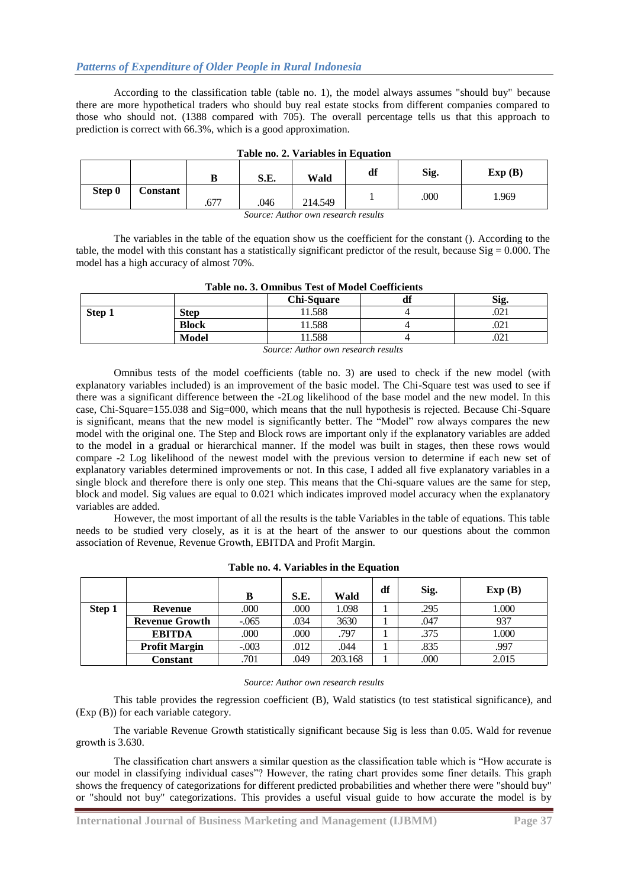# *Patterns of Expenditure of Older People in Rural Indonesia*

According to the classification table (table no. 1), the model always assumes "should buy" because there are more hypothetical traders who should buy real estate stocks from different companies compared to those who should not. (1388 compared with 705). The overall percentage tells us that this approach to prediction is correct with 66.3%, which is a good approximation.

| rabic no. 2. variables in Equation |          |      |      |         |    |      |        |  |  |
|------------------------------------|----------|------|------|---------|----|------|--------|--|--|
|                                    |          | ע    | S.E. | Wald    | df | Sig. | Exp(B) |  |  |
| Step 0                             | Constant | .677 | .046 | 214.549 |    | .000 | 1.969  |  |  |

| Table no. 2. Variables in Equation |  |  |
|------------------------------------|--|--|
|------------------------------------|--|--|

*Source: Author own research results*

The variables in the table of the equation show us the coefficient for the constant (). According to the table, the model with this constant has a statistically significant predictor of the result, because  $Sig = 0.000$ . The model has a high accuracy of almost 70%.

| Table no. 3. Omnibus Test of model coemercing |              |       |  |       |  |  |  |
|-----------------------------------------------|--------------|-------|--|-------|--|--|--|
| Chi-Square<br>Sig.<br>Т С<br>aı               |              |       |  |       |  |  |  |
| Step 1                                        | Step         | 1.588 |  | .v∠1  |  |  |  |
|                                               | <b>Block</b> | 1.588 |  | .v∠ 1 |  |  |  |
|                                               | <b>Model</b> | 1.588 |  | .U41  |  |  |  |

# **Table no. 3. Omnibus Test of Model Coefficients**

*Source: Author own research results*

Omnibus tests of the model coefficients (table no. 3) are used to check if the new model (with explanatory variables included) is an improvement of the basic model. The Chi-Square test was used to see if there was a significant difference between the -2Log likelihood of the base model and the new model. In this case, Chi-Square=155.038 and Sig=000, which means that the null hypothesis is rejected. Because Chi-Square is significant, means that the new model is significantly better. The "Model" row always compares the new model with the original one. The Step and Block rows are important only if the explanatory variables are added to the model in a gradual or hierarchical manner. If the model was built in stages, then these rows would compare -2 Log likelihood of the newest model with the previous version to determine if each new set of explanatory variables determined improvements or not. In this case, I added all five explanatory variables in a single block and therefore there is only one step. This means that the Chi-square values are the same for step, block and model. Sig values are equal to 0.021 which indicates improved model accuracy when the explanatory variables are added.

However, the most important of all the results is the table Variables in the table of equations. This table needs to be studied very closely, as it is at the heart of the answer to our questions about the common association of Revenue, Revenue Growth, EBITDA and Profit Margin.

|        |                       | в        | S.E. | Wald    | df | Sig. | Exp(B) |
|--------|-----------------------|----------|------|---------|----|------|--------|
| Step 1 | Revenue               | .000     | .000 | 1.098   |    | .295 | 1.000  |
|        | <b>Revenue Growth</b> | $-0.065$ | .034 | 3630    |    | .047 | 937    |
|        | <b>EBITDA</b>         | .000     | .000 | .797    |    | .375 | 1.000  |
|        | <b>Profit Margin</b>  | $-.003$  | .012 | .044    |    | .835 | .997   |
|        | Constant              | .701     | .049 | 203.168 |    | .000 | 2.015  |

|  |  | Table no. 4. Variables in the Equation |
|--|--|----------------------------------------|
|--|--|----------------------------------------|

#### *Source: Author own research results*

This table provides the regression coefficient (B), Wald statistics (to test statistical significance), and (Exp (B)) for each variable category.

The variable Revenue Growth statistically significant because Sig is less than 0.05. Wald for revenue growth is 3.630.

The classification chart answers a similar question as the classification table which is "How accurate is our model in classifying individual cases"? However, the rating chart provides some finer details. This graph shows the frequency of categorizations for different predicted probabilities and whether there were "should buy" or "should not buy" categorizations. This provides a useful visual guide to how accurate the model is by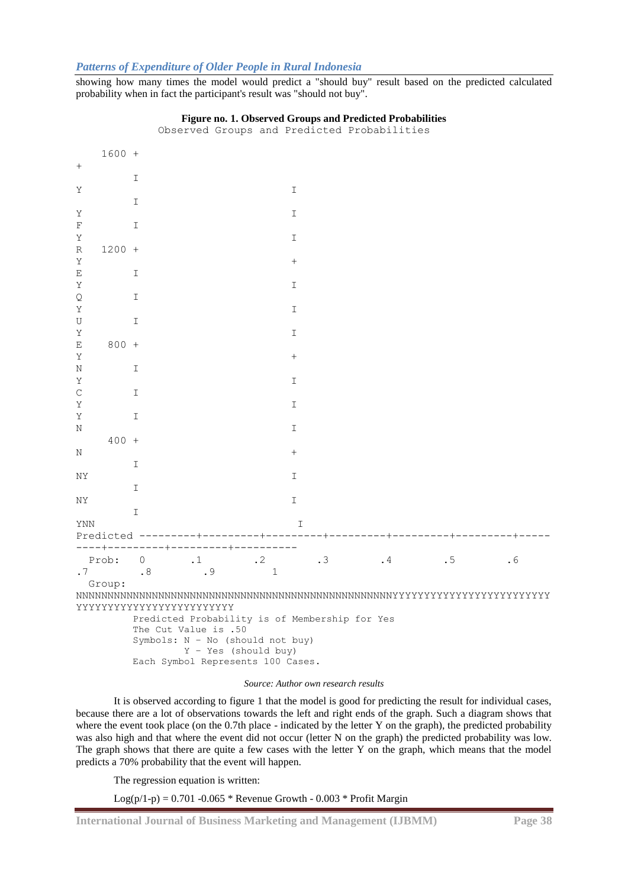# *Patterns of Expenditure of Older People in Rural Indonesia*

showing how many times the model would predict a "should buy" result based on the predicted calculated probability when in fact the participant's result was "should not buy".

|            | $1600 +$ |               |                                                          |                      |    |           |    |    |  |
|------------|----------|---------------|----------------------------------------------------------|----------------------|----|-----------|----|----|--|
|            |          |               |                                                          |                      |    |           |    |    |  |
|            |          | I             |                                                          |                      |    |           |    |    |  |
| Υ          |          |               |                                                          | I                    |    |           |    |    |  |
|            |          | I             |                                                          |                      |    |           |    |    |  |
| Υ          |          |               |                                                          | I                    |    |           |    |    |  |
| F          |          | $\mathbb{I}$  |                                                          |                      |    |           |    |    |  |
| Υ          |          |               |                                                          | I                    |    |           |    |    |  |
| R          | $1200 +$ |               |                                                          |                      |    |           |    |    |  |
| Υ          |          |               |                                                          |                      |    |           |    |    |  |
| Ε          |          | I             |                                                          |                      |    |           |    |    |  |
| Υ          |          |               |                                                          | I                    |    |           |    |    |  |
| Q          |          | I             |                                                          |                      |    |           |    |    |  |
| Υ          |          |               |                                                          | I                    |    |           |    |    |  |
| U          |          | $\mathbb{I}$  |                                                          |                      |    |           |    |    |  |
| Υ          |          |               |                                                          | I                    |    |           |    |    |  |
| E          | $800 +$  |               |                                                          |                      |    |           |    |    |  |
| Υ          |          |               |                                                          | $^{+}$               |    |           |    |    |  |
| Ν          |          | I             |                                                          |                      |    |           |    |    |  |
| Υ          |          |               |                                                          | I                    |    |           |    |    |  |
| C          |          | I             |                                                          |                      |    |           |    |    |  |
| Υ          |          |               |                                                          | I                    |    |           |    |    |  |
| Υ          |          | I             |                                                          |                      |    |           |    |    |  |
| N          |          |               |                                                          | I                    |    |           |    |    |  |
|            | $400 +$  |               |                                                          |                      |    |           |    |    |  |
| Ν          |          |               |                                                          | $^{+}$               |    |           |    |    |  |
|            |          | I             |                                                          |                      |    |           |    |    |  |
| NΥ         |          |               |                                                          | I                    |    |           |    |    |  |
|            |          | $\mathbbm{I}$ |                                                          |                      |    |           |    |    |  |
| ΝY         |          |               |                                                          | I                    |    |           |    |    |  |
|            |          | I             |                                                          |                      |    |           |    |    |  |
| <b>YNN</b> |          |               |                                                          |                      | I  |           |    |    |  |
|            |          |               |                                                          |                      |    |           |    |    |  |
|            |          |               | ----+---------+---------+---------                       |                      |    |           |    |    |  |
|            | Prob:    | $\circ$       | $\cdot$ 1                                                | $\cdot$ 2            | .3 | $\cdot$ 4 | .5 | .6 |  |
| .7         |          | .8            | . 9                                                      | $\mathbf 1$          |    |           |    |    |  |
|            | Group:   |               |                                                          |                      |    |           |    |    |  |
|            |          |               |                                                          |                      |    |           |    |    |  |
|            |          |               | YYYYYYYYYYYYYYYYYYYYYYYY                                 |                      |    |           |    |    |  |
|            |          |               | Predicted Probability is of Membership for Yes           |                      |    |           |    |    |  |
|            |          |               | The Cut Value is .50<br>Symbols: N - No (should not buy) |                      |    |           |    |    |  |
|            |          |               |                                                          | Y - Yes (should buy) |    |           |    |    |  |
|            |          |               | Each Symbol Represents 100 Cases.                        |                      |    |           |    |    |  |

# **Figure no. 1. Observed Groups and Predicted Probabilities**

Observed Groups and Predicted Probabilities

#### *Source: Author own research results*

It is observed according to figure 1 that the model is good for predicting the result for individual cases, because there are a lot of observations towards the left and right ends of the graph. Such a diagram shows that where the event took place (on the 0.7th place - indicated by the letter Y on the graph), the predicted probability was also high and that where the event did not occur (letter N on the graph) the predicted probability was low. The graph shows that there are quite a few cases with the letter Y on the graph, which means that the model predicts a 70% probability that the event will happen.

The regression equation is written:

Log(p/1-p) =  $0.701 - 0.065$  \* Revenue Growth -  $0.003$  \* Profit Margin